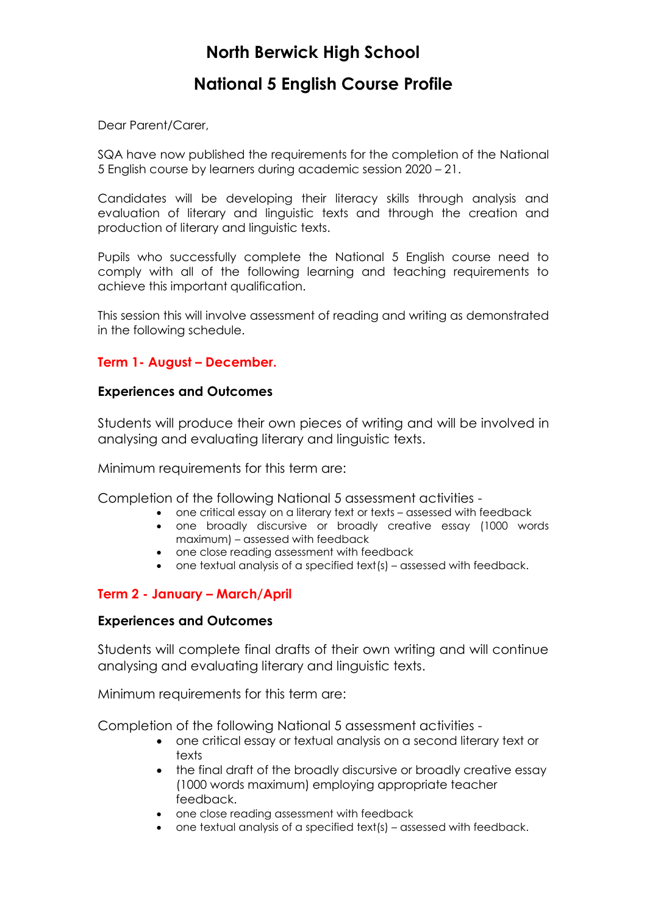# **North Berwick High School**

## **National 5 English Course Profile**

Dear Parent/Carer,

SQA have now published the requirements for the completion of the National 5 English course by learners during academic session 2020 – 21.

Candidates will be developing their literacy skills through analysis and evaluation of literary and linguistic texts and through the creation and production of literary and linguistic texts.

Pupils who successfully complete the National 5 English course need to comply with all of the following learning and teaching requirements to achieve this important qualification.

This session this will involve assessment of reading and writing as demonstrated in the following schedule.

### **Term 1- August – December.**

#### **Experiences and Outcomes**

Students will produce their own pieces of writing and will be involved in analysing and evaluating literary and linguistic texts.

Minimum requirements for this term are:

Completion of the following National 5 assessment activities -

- one critical essay on a literary text or texts assessed with feedback
- one broadly discursive or broadly creative essay (1000 words
- maximum) assessed with feedback
- one close reading assessment with feedback
- one textual analysis of a specified text(s) assessed with feedback.

### **Term 2 - January – March/April**

#### **Experiences and Outcomes**

Students will complete final drafts of their own writing and will continue analysing and evaluating literary and linguistic texts.

Minimum requirements for this term are:

Completion of the following National 5 assessment activities -

- one critical essay or textual analysis on a second literary text or texts
- the final draft of the broadly discursive or broadly creative essay (1000 words maximum) employing appropriate teacher feedback.
- one close reading assessment with feedback
- one textual analysis of a specified text(s) assessed with feedback.